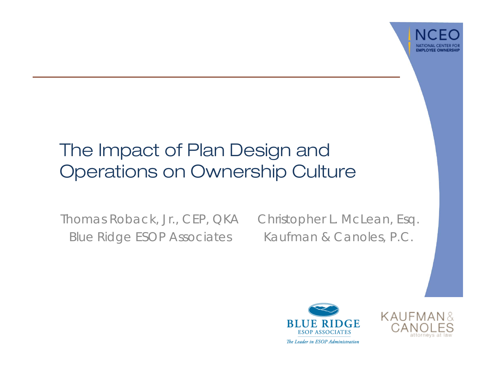

#### The Impact of Plan Design and Operations on Ownership Culture

Thomas Roback, Jr., CEP, QKA Blue Ridge ESOP Associates

Christopher L. McLean, Esq. Kaufman & Canoles, P.C.



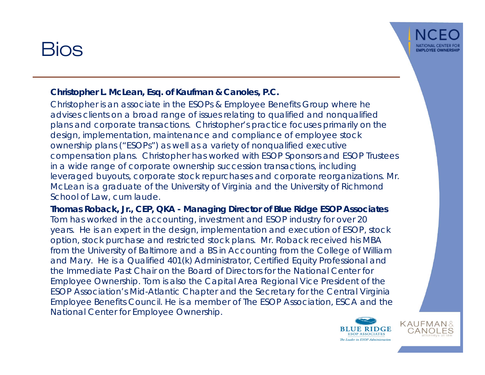#### Bios



#### **Christopher L. McLean, Esq. of Kaufman & Canoles, P.C.**

Christopher is an associate in the ESOPs & Employee Benefits Group where he advises clients on a broad range of issues relating to qualified and nonqualified plans and corporate transactions. Christopher's practice focuses primarily on the design, implementation, maintenance and compliance of employee stock ownership plans ("ESOPs") as well as a variety of nonqualified executive compensation plans. Christopher has worked with ESOP Sponsors and ESOP Trustees in a wide range of corporate ownership succession transactions, including leveraged buyouts, corporate stock repurchases and corporate reorganizations. Mr. McLean is a graduate of the University of Virginia and the University of Richmond School of Law, *cum laude*.

**Thomas Roback, Jr., CEP, QKA - Managing Director of Blue Ridge ESOP Associates** Tom has worked in the accounting, investment and ESOP industry for over 20 years. He is an expert in the design, implementation and execution of ESOP, stock option, stock purchase and restricted stock plans. Mr. Roback received his MBA from the University of Baltimore and a BS in Accounting from the College of William and Mary. He is a Qualified 401(k) Administrator, Certified Equity Professional and the Immediate Past Chair on the Board of Directors for the National Center for Employee Ownership. Tom is also the Capital Area Regional Vice President of the ESOP Association's Mid-Atlantic Chapter and the Secretary for the Central Virginia Employee Benefits Council. He is a member of The ESOP Association, ESCA and the National Center for Employee Ownership.

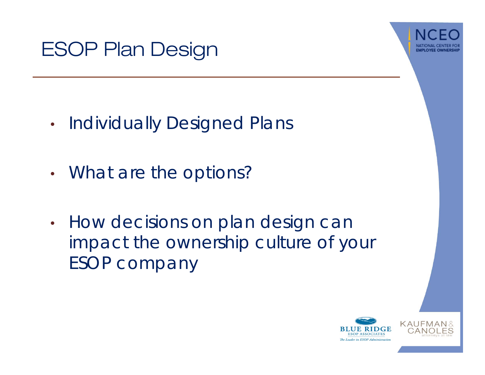



- •Individually Designed Plans
- •• What are the options?
- • How decisions on plan design can impact the ownership culture of your ESOP company

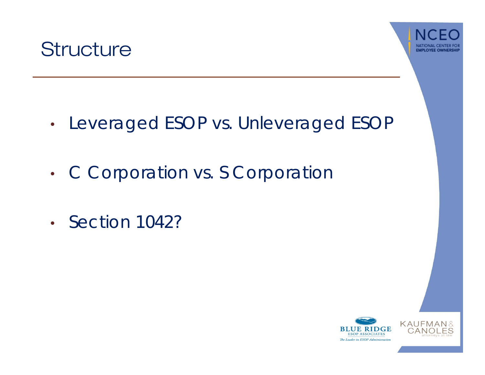



- •• Leveraged ESOP vs. Unleveraged ESOF
- •• C Corporation vs. S Corporation
- Section 1042?

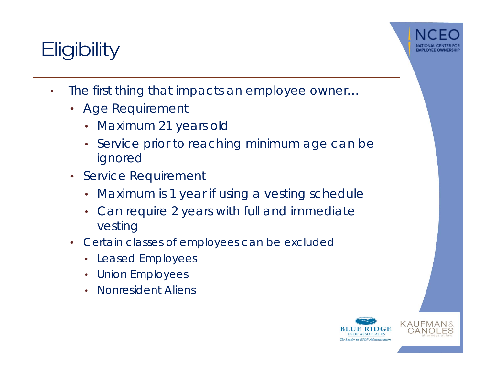## **Eligibility**



- $\bullet$  The first thing that impacts an employee owner…
	- Age Requirement
		- Maximum 21 years old
		- Service prior to reaching minimum age can be ignored
	- Service Requirement
		- Maximum is 1 year if using a vesting schedule
		- Can require 2 years with full and immediate vesting
	- Certain classes of employees can be excluded
		- Leased Employees
		- Union Employees
		- Nonresident Aliens

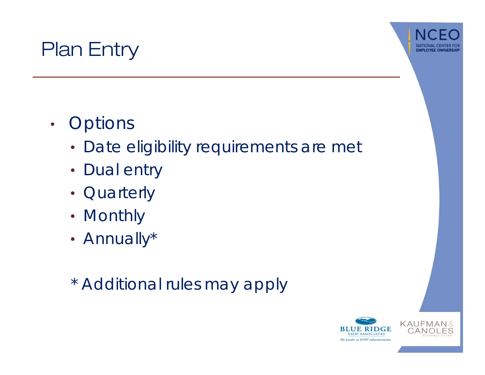



- •• Options
	- Date eligibility requirements are met
	- Dual entry
	- Quarterly
	- Monthly
	- Annually\*
	- \* Additional rules may apply

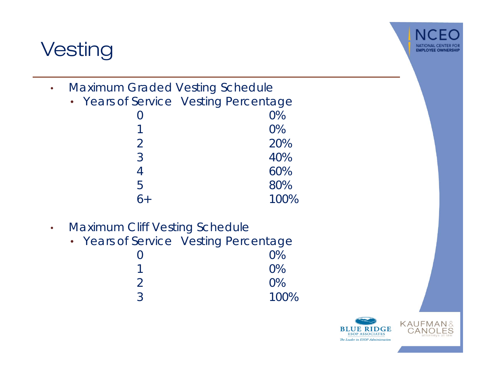## **Vesting**



- • Maximum Graded Vesting Schedule
	- Years of Service Vesting Percentage

|                | $0\%$ |
|----------------|-------|
| 1              | $0\%$ |
| $\overline{2}$ | 20%   |
| 3              | 40%   |
| 4              | 60%   |
| 5              | 80%   |
| $6+$           | 100%  |
|                |       |

- • Maximum Cliff Vesting Schedule
	- Years of Service Vesting Percentage

| $\bigcap$      | 0%    |
|----------------|-------|
|                | $0\%$ |
| $\overline{2}$ | $0\%$ |
| 3              | 100%  |
|                |       |

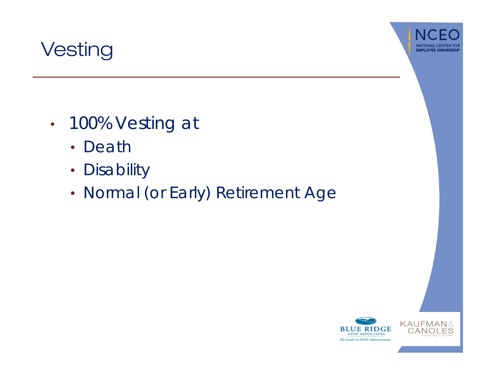



- • 100% Vesting at
	- Death
	- Disability
	- •• Normal (or Early) Retirement Age

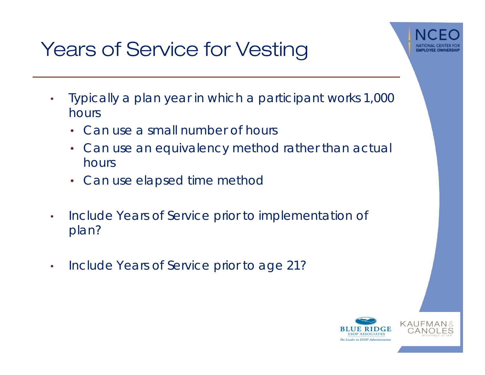



- • Typically a plan year in which a participant works 1,000 hours
	- Can use a small number of hours
	- Can use an equivalency method rather than actual hours
	- Can use elapsed time method
- $\bullet$  Include Years of Service prior to implementation of plan?
- $\bullet$ Include Years of Service prior to age 21?

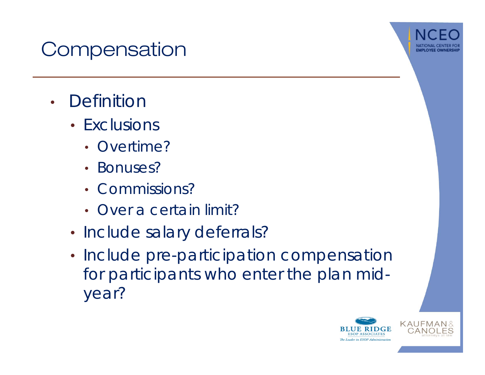## **Compensation**



- Definitior
	- Exclusions
		- Overtime?
		- Bonuses?
		- Commissions?
		- Over a certain limit?
	- Include salary deferrals?
	- Include pre-participation compensation for participants who enter the plan midyear?

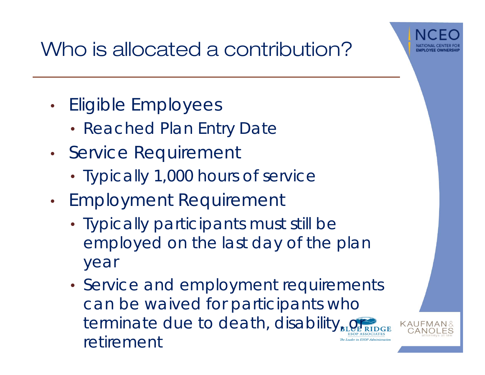

# Who is allocated a contribution?

- •• Eligible Employees
	- Reached Plan Entry Date
- •• Service Requirement
	- Typically 1,000 hours of service
- •• Employment Requirement
	- Typically participants must still be employed on the last day of the plan year
	- Service and employment requirements can be waived for participants who terminate due to death, disability $_{\text{BL}}$ retirementThe Leader in ESOP Administ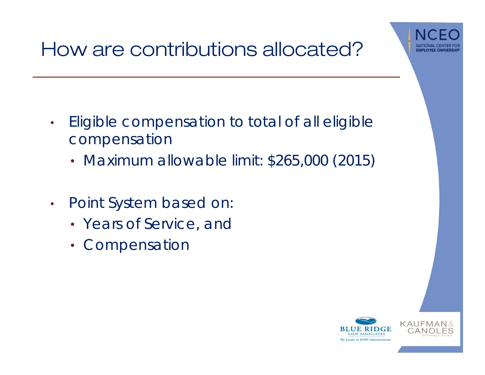

- $\bullet$  Eligible compensation to total of all eligible compensation
	- Maximum allowable limit: \$265,000 (2015)
- • Point System based on:
	- Years of Service, and
	- Compensation

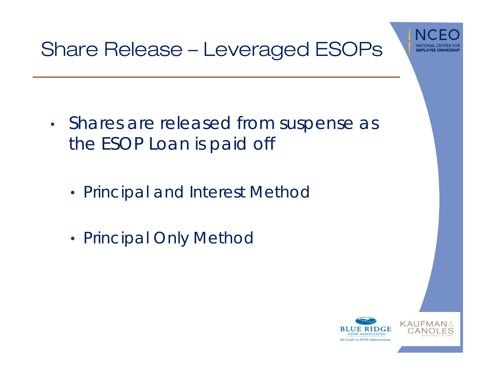

#### Share Release – Leveraged ESOPs

- •• Shares are released from suspense as the ESOP Loan is paid off
	- Principal and Interest Method
	- Principal Only Method

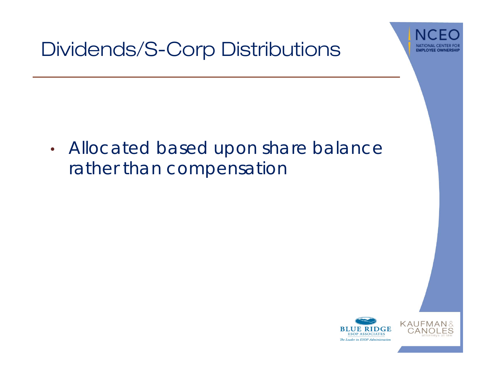

#### Dividends/S-Corp Distributions

• Allocated based upon share balance rather than compensation

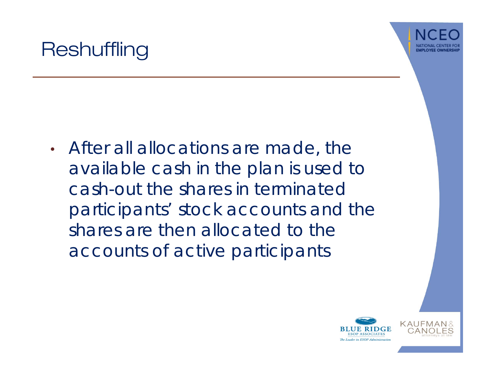

#### **Reshuffling**

• After all allocations are made, the available cash in the plan is used to cash-out the shares in terminated participants' stock accounts and the shares are then allocated to the accounts of active participants

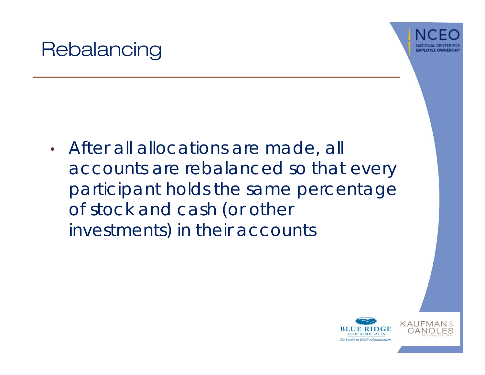#### **Rebalancing**



• After all allocations are made, all accounts are rebalanced so that every participant holds the same percentage of stock and cash (or other investments) in their accounts

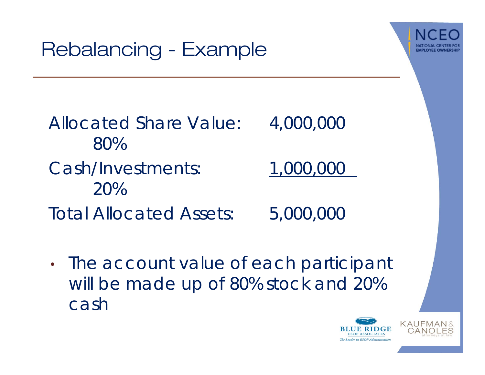## Rebalancing - Example



| Allocated Share Value:         | 4,000,000 |
|--------------------------------|-----------|
| 80%                            |           |
| <b>Cash/Investments:</b>       | 1,000,000 |
| 20%                            |           |
| <b>Total Allocated Assets:</b> | 5,000,000 |

• The account value of each participant will be made up of 80% stock and 20% cash

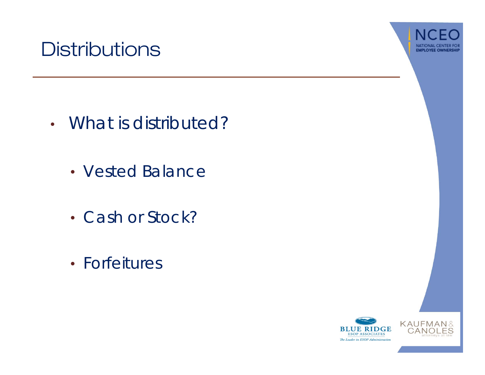#### **Distributions**



- What is distributed?
	- Vested Balance
	- Cash or Stock?
	- Forfeitures

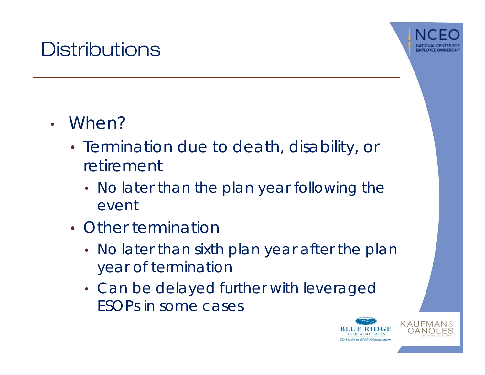#### **Distributions**



- When?
	- Termination due to death, disability, or retirement
		- No later than the plan year following the event
	- Other termination
		- No later than sixth plan year after the plan year of termination
		- Can be delayed further with leveraged ESOPs in some cases

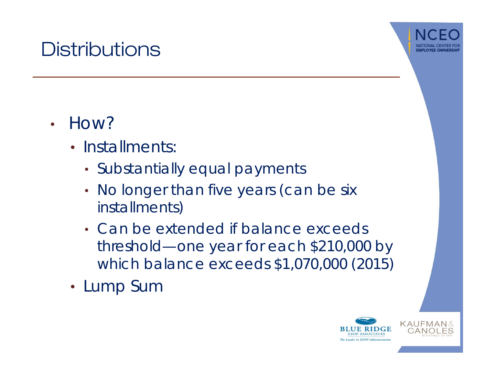#### **Distributions**



- How?
	- Installments
		- Substantially equal payments
		- •• No longer than five years (can be six installments)
		- Can be extended if balance exceeds threshold—one year for each \$210,000 by which balance exceeds \$1,070,000 (2015)
	- Lump Sum

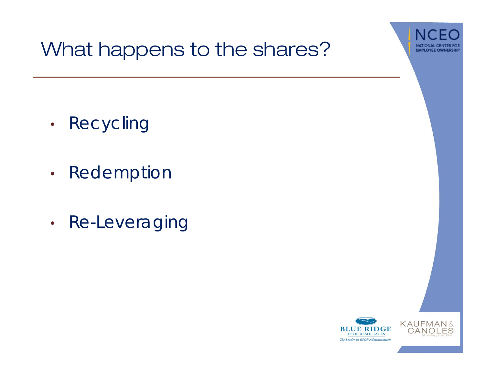

#### What happens to the shares?

- •Recycling
- •Redemption
- •• Re-Leveraging

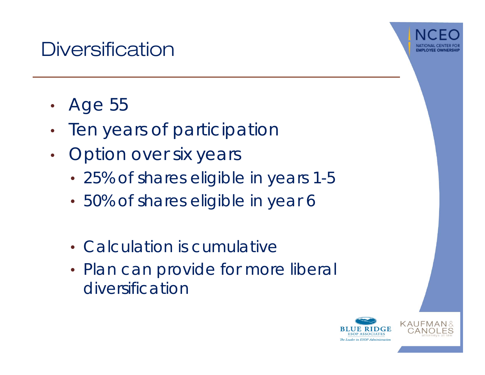#### **Diversification**



- •Age 55
- $\bullet$ Ten years of participation
- • Option over six years
	- 25% of shares eligible in years 1-5
	- 50% of shares eligible in year 6
	- Calculation is cumulative
	- Plan can provide for more liberal diversification

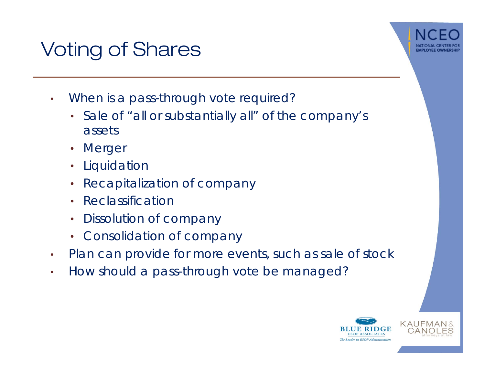#### Voting of Shares



- •When is a pass-through vote required?
	- • Sale of "all or substantially all" of the company's assets
	- Merger
	- Liquidatior
	- Recapitalization of company
	- Reclassification
	- •Dissolution of company
	- Consolidation of company
- •Plan can provide for more events, such as sale of stock
- •How should a pass-through vote be managed?

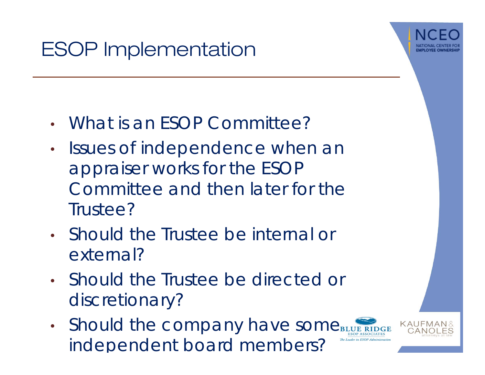## ESOP Implementation



- •What is an ESOP Committee?
- $\bullet$  Issues of independence when an appraiser works for the ESOP Committee and then later for the Trustee?
- Should the Trustee be internal or external?
- Should the Trustee be directed or discretionary?
- •• Should the company have some $_{\text{\tiny B}}$ independent board members?

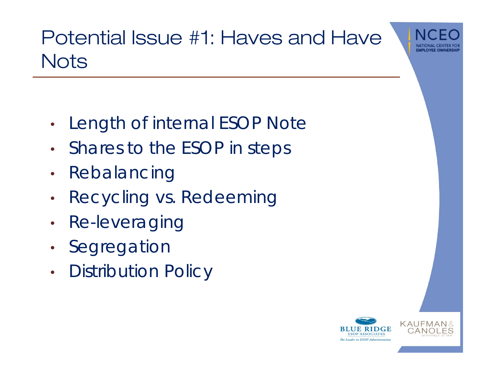

## Potential Issue #1: Haves and Have **Nots**

- •Length of internal ESOP Note
- •Shares to the ESOP in steps
- $\bullet$ Rebalancing
- •Recycling vs. Redeeming
- $\bullet$ Re-leveraging
- •• Segregatior
- •Distribution Policy

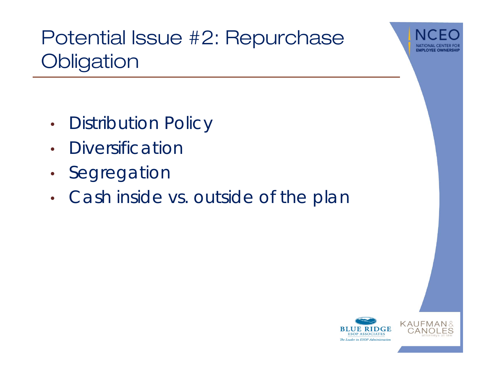

# Potential Issue #2: Repurchase **Obligation**

- •Distribution Policy
- •Diversification
- •Segregation
- •• Cash inside vs. outside of the plar

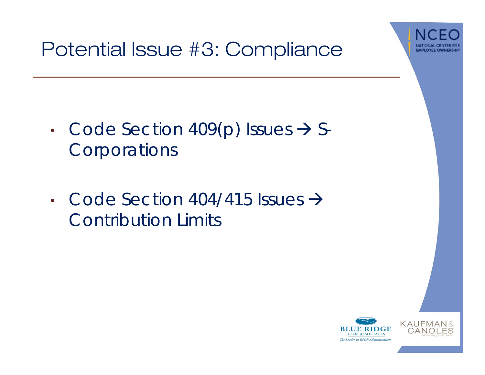

#### Potential Issue #3: Compliance

- •• Code Section 409(p) Issues  $\rightarrow$  S-Corporations
- Code Section 404/415 Issues  $\rightarrow$ Contribution Limits

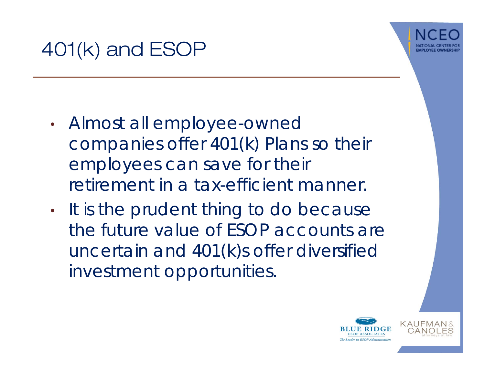

- • Almost all employee-owned companies offer 401(k) Plans so their employees can save for their retirement in a tax-efficient manner.
- •It is the prudent thing to do because the future value of ESOP accounts are uncertain and 401(k)s offer diversified investment opportunities.

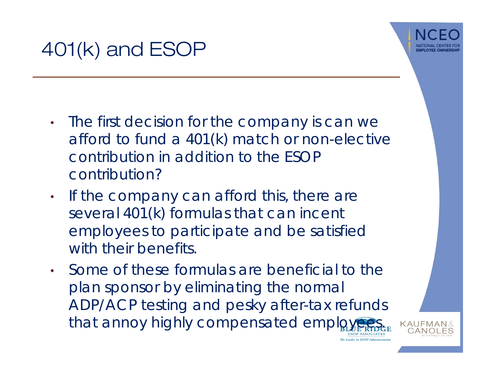



- $\bullet$  The first decision for the company is can we afford to fund a 401(k) match or non-elective contribution in addition to the ESOP contribution?
- $\bullet$  If the company can afford this, there are several 401(k) formulas that can incent employees to participate and be satisfied with their benefits.
- $\bullet$  Some of these formulas are beneficial to the plan sponsor by eliminating the normal ADP/ACP testing and pesky after-tax refunds that annoy highly compensated employ



The Leader in ESOP Administrat.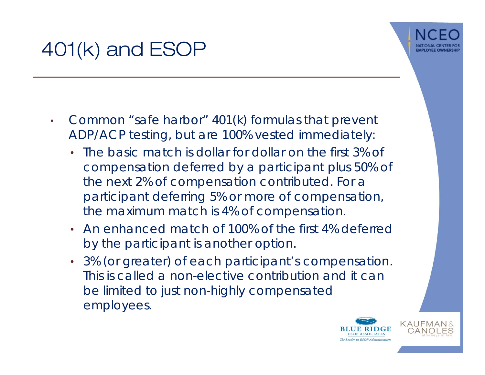

- • Common "safe harbor" 401(k) formulas that prevent ADP/ACP testing, but are 100% vested immediately:
	- The basic match is dollar for dollar on the first 3% of compensation deferred by a participant plus 50% of the next 2% of compensation contributed. For a participant deferring 5% or more of compensation, the maximum match is 4% of compensation.
	- An enhanced match of 100% of the first 4% deferred by the participant is another option.
	- 3% (or greater) of each participant's compensation. This is called a non-elective contribution and it can be limited to just non-highly compensated employees.

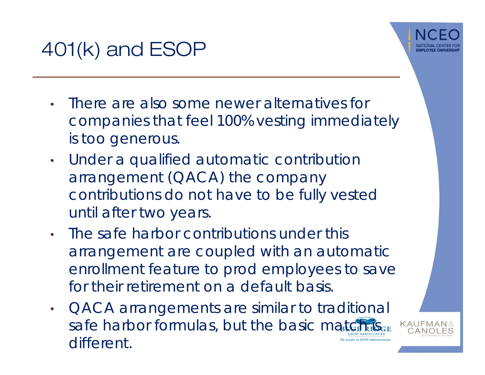

- • There are also some newer alternatives for companies that feel 100% vesting immediately is too generous.
- • Under a qualified automatic contribution arrangement (QACA) the company contributions do not have to be fully vested until after two years.
- • The safe harbor contributions under this arrangement are coupled with an automatic enrollment feature to prod employees to save for their retirement on a default basis.
- QACA arrangements are similar to traditional  $\bullet$ safe harbor formulas, but the basic match different.The Leader in ESOP Administ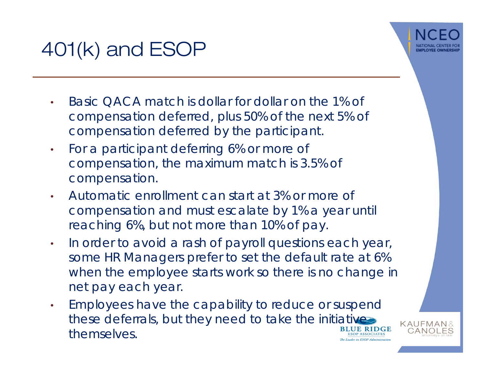- • Basic QACA match is dollar for dollar on the 1% of compensation deferred, plus 50% of the next 5% of compensation deferred by the participant.
- • For a participant deferring 6% or more of compensation, the maximum match is 3.5% of compensation.
- • Automatic enrollment can start at 3% or more of compensation and must escalate by 1% a year until reaching 6%, but not more than 10% of pay.
- • In order to avoid a rash of payroll questions each year, some HR Managers prefer to set the default rate at 6% when the employee starts work so there is no change in net pay each year.
- Employees have the capability to reduce or suspend •these deferrals, but they need to take the initiative themselves.**ESOP ASSOCIATES** The Leader in ESOP Administration